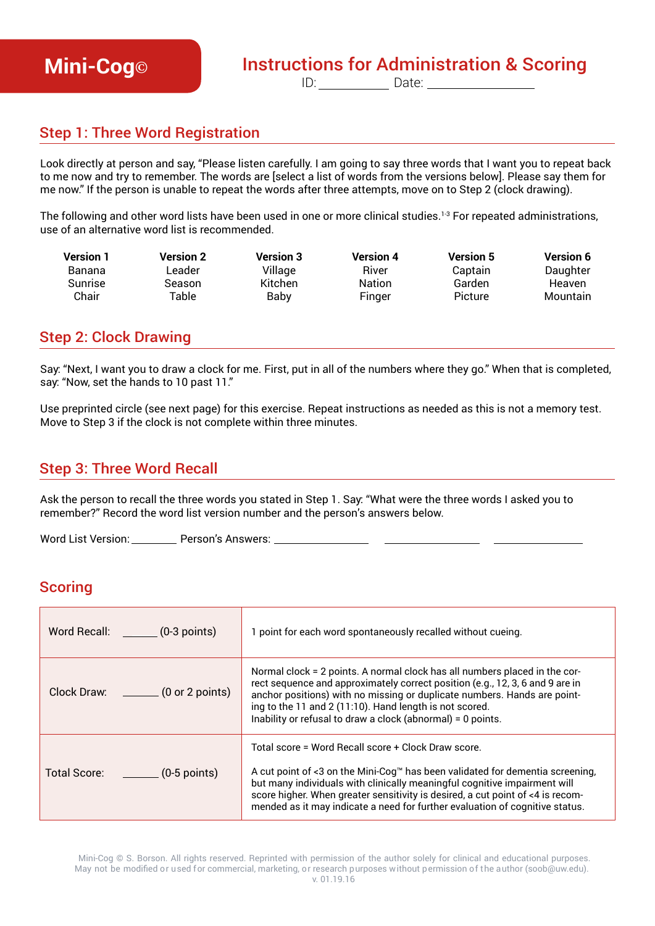# **Mini-Cog**<sup>®</sup> **Instructions for Administration & Scoring**

ID:\_\_\_\_\_\_\_\_\_\_\_\_\_ Date:\_\_\_\_\_\_\_\_\_\_\_\_\_\_\_\_\_\_

## Step 1: Three Word Registration

Look directly at person and say, "Please listen carefully. I am going to say three words that I want you to repeat back to me now and try to remember. The words are [select a list of words from the versions below]. Please say them for me now." If the person is unable to repeat the words after three attempts, move on to Step 2 (clock drawing).

The following and other word lists have been used in one or more clinical studies.<sup>1-3</sup> For repeated administrations, use of an alternative word list is recommended.

| <b>Version 1</b> | Version 2   | <b>Version 3</b> | <b>Version 4</b> | <b>Version 5</b> | <b>Version 6</b> |
|------------------|-------------|------------------|------------------|------------------|------------------|
| Banana           | Leader      | Village          | River            | Captain          | Daughter         |
| <b>Sunrise</b>   | Season      | <b>Kitchen</b>   | <b>Nation</b>    | Garden           | <b>Heaven</b>    |
| Chair            | $\tau$ able | Baby             | Finger           | Picture          | Mountain         |

### Step 2: Clock Drawing

Say: "Next, I want you to draw a clock for me. First, put in all of the numbers where they go." When that is completed, say: "Now, set the hands to 10 past 11."

Use preprinted circle (see next page) for this exercise. Repeat instructions as needed as this is not a memory test. Move to Step 3 if the clock is not complete within three minutes.

## Step 3: Three Word Recall

Ask the person to recall the three words you stated in Step 1. Say: "What were the three words I asked you to remember?" Record the word list version number and the person's answers below.

Word List Version: \_\_\_\_\_\_\_\_\_\_\_\_ Person's Answers: \_\_

### **Scoring**

| Word Recall: ________ (0-3 points)          | 1 point for each word spontaneously recalled without cueing.                                                                                                                                                                                                                                                                                                                        |
|---------------------------------------------|-------------------------------------------------------------------------------------------------------------------------------------------------------------------------------------------------------------------------------------------------------------------------------------------------------------------------------------------------------------------------------------|
| Clock Draw: $\qquad \qquad$ (0 or 2 points) | Normal clock = 2 points. A normal clock has all numbers placed in the cor-<br>rect sequence and approximately correct position (e.g., 12, 3, 6 and 9 are in<br>anchor positions) with no missing or duplicate numbers. Hands are point-<br>ing to the 11 and 2 (11:10). Hand length is not scored.<br>Inability or refusal to draw a clock (abnormal) = 0 points.                   |
| Total Score: _________ (0-5 points)         | Total score = Word Recall score + Clock Draw score.<br>A cut point of <3 on the Mini-Cog™ has been validated for dementia screening,<br>but many individuals with clinically meaningful cognitive impairment will<br>score higher. When greater sensitivity is desired, a cut point of <4 is recom-<br>mended as it may indicate a need for further evaluation of cognitive status. |

Mini-Cog © S. Borson. All rights reserved. Reprinted with permission of the author solely for clinical and educational purposes. May not be modified or used for commercial, marketing, or research purposes without permission of the author (soob@uw.edu). v. 01.19.16